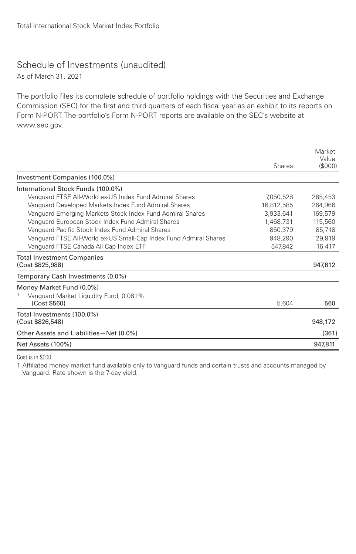## Schedule of Investments (unaudited)

As of March 31, 2021

The portfolio files its complete schedule of portfolio holdings with the Securities and Exchange Commission (SEC) for the first and third quarters of each fiscal year as an exhibit to its reports on Form N-PORT. The portfolio's Form N-PORT reports are available on the SEC's website at www.sec.gov.

|                                                                   | <b>Shares</b> | Market<br>Value<br>(\$000) |
|-------------------------------------------------------------------|---------------|----------------------------|
| Investment Companies (100.0%)                                     |               |                            |
| International Stock Funds (100.0%)                                |               |                            |
| Vanguard FTSE All-World ex-US Index Fund Admiral Shares           | 7,050,528     | 265,453                    |
| Vanguard Developed Markets Index Fund Admiral Shares              | 16,812,585    | 264,966                    |
| Vanguard Emerging Markets Stock Index Fund Admiral Shares         | 3,933,641     | 169,579                    |
| Vanquard European Stock Index Fund Admiral Shares                 | 1.468.731     | 115,560                    |
| Vanquard Pacific Stock Index Fund Admiral Shares                  | 850,379       | 85,718                     |
| Vanquard FTSE All-World ex-US Small-Cap Index Fund Admiral Shares | 948,290       | 29,919                     |
| Vanguard FTSE Canada All Cap Index ETF                            | 547,842       | 16,417                     |
| <b>Total Investment Companies</b><br>(Cost \$825,988)             |               | 947,612                    |
|                                                                   |               |                            |
| Temporary Cash Investments (0.0%)                                 |               |                            |
| Money Market Fund (0.0%)                                          |               |                            |
| Vanguard Market Liquidity Fund, 0.081%<br>1                       |               |                            |
| (Cost \$560)                                                      | 5,604         | 560                        |
| Total Investments (100.0%)                                        |               |                            |
| (Cost \$826,548)                                                  |               | 948,172                    |
| Other Assets and Liabilities-Net (0.0%)                           |               | (361)                      |
| Net Assets (100%)                                                 |               | 947.811                    |

Cost is in \$000.

1 Affiliated money market fund available only to Vanguard funds and certain trusts and accounts managed by Vanguard. Rate shown is the 7-day yield.